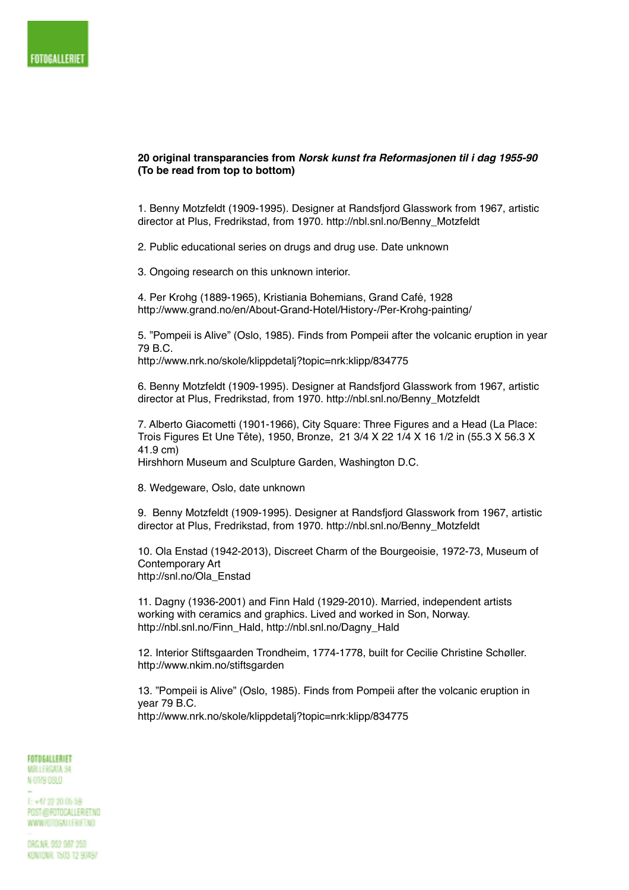## FOTOGALLERIET

## **20 original transparancies from** *Norsk kunst fra Reformasjonen til i dag 1955-90*  **(To be read from top to bottom)**

1. Benny Motzfeldt (1909-1995). Designer at Randsfjord Glasswork from 1967, artistic director at Plus, Fredrikstad, from 1970. http://nbl.snl.no/Benny\_Motzfeldt

2. Public educational series on drugs and drug use. Date unknown

3. Ongoing research on this unknown interior.

4. Per Krohg (1889-1965), Kristiania Bohemians, Grand Café, 1928 http://www.grand.no/en/About-Grand-Hotel/History-/Per-Krohg-painting/

5. "Pompeii is Alive" (Oslo, 1985). Finds from Pompeii after the volcanic eruption in year 79 B.C.

http://www.nrk.no/skole/klippdetalj?topic=nrk:klipp/834775

6. Benny Motzfeldt (1909-1995). Designer at Randsfjord Glasswork from 1967, artistic director at Plus, Fredrikstad, from 1970. http://nbl.snl.no/Benny\_Motzfeldt

7. Alberto Giacometti (1901-1966), City Square: Three Figures and a Head (La Place: Trois Figures Et Une Tête), 1950, Bronze, 21 3/4 X 22 1/4 X 16 1/2 in (55.3 X 56.3 X 41.9 cm)

Hirshhorn Museum and Sculpture Garden, Washington D.C.

8. Wedgeware, Oslo, date unknown

9. Benny Motzfeldt (1909-1995). Designer at Randsfjord Glasswork from 1967, artistic director at Plus, Fredrikstad, from 1970. http://nbl.snl.no/Benny\_Motzfeldt

10. Ola Enstad (1942-2013), Discreet Charm of the Bourgeoisie, 1972-73, Museum of Contemporary Art http://snl.no/Ola\_Enstad

11. Dagny (1936-2001) and Finn Hald (1929-2010). Married, independent artists working with ceramics and graphics. Lived and worked in Son, Norway. http://nbl.snl.no/Finn\_Hald, http://nbl.snl.no/Dagny\_Hald

12. Interior Stiftsgaarden Trondheim, 1774-1778, built for Cecilie Christine Schøller. http://www.nkim.no/stiftsgarden

13. "Pompeii is Alive" (Oslo, 1985). Finds from Pompeii after the volcanic eruption in year 79 B.C. http://www.nrk.no/skole/klippdetalj?topic=nrk:klipp/834775

## FOTOGALLERIET MŽLI FRGATA SA

N-01/9 0SLO

 $1: +47.22.20.06.59$ POST@ROTOGALLER/ET.NO WWW.ROTOGALLER/ET.NO

DRG.NR. 952 987 259 KONTONR 1503 12 90497